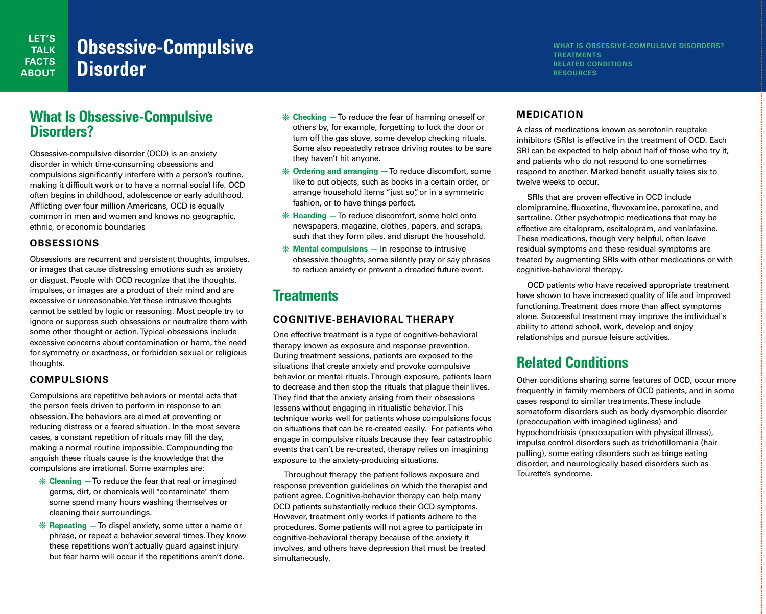#### **WHAT IS OBSESSIVE-COMPULSIVE DISORDERS? TREATMENTS RELATED CONDITIONS RESOURCES**

# **What Is Obsessive-Compulsive Disorders?**

Obsessive-compulsive disorder (OCD) is an anxiety disorder in which time-consuming obsessions and compulsions significantly interfere with a person's routine, making it difficult work or to have a normal social life. OCD often begins in childhood, adolescence or early adulthood. Afflicting over four million Americans, OCD is equally common in men and women and knows no geographic, ethnic, or economic boundaries

#### **OBSESSIONS**

Obsessions are recurrent and persistent thoughts, impulses, or images that cause distressing emotions such as anxiety or disgust. People with OCD recognize that the thoughts, impulses, or images are a product of their mind and are excessive or unreasonable. Yet these intrusive thoughts cannot be settled by logic or reasoning. Most people try to ignore or suppress such obsessions or neutralize them with some other thought or action. Typical obsessions include excessive concerns about contamination or harm, the need for symmetry or exactness, or forbidden sexual or religious thoughts.

#### **COMPULSIONS**

Compulsions are repetitive behaviors or mental acts that the person feels driven to perform in response to an obsession. The behaviors are aimed at preventing or reducing distress or a feared situation. In the most severe cases, a constant repetition of rituals may fill the day, making a normal routine impossible. Compounding the anguish these rituals cause is the knowledge that the compulsions are irrational. Some examples are:

- **\* Cleaning To reduce the fear that real or imagined** germs, dirt, or chemicals will "contaminate" them some spend many hours washing themselves or cleaning their surroundings.
- **\* Repeating To dispel anxiety, some utter a name or** phrase, or repeat a behavior several times. They know these repetitions won't actually guard against injury but fear harm will occur if the repetitions aren't done.
- v **Checking —**To reduce the fear of harming oneself or others by, for example, forgetting to lock the door or turn off the gas stove, some develop checking rituals. Some also repeatedly retrace driving routes to be sure they haven't hit anyone.
- v **Ordering and arranging —**To reduce discomfort, some like to put objects, such as books in a certain order, or arrange household items "just so", or in a symmetric fashion, or to have things perfect.
- **\* Hoarding** To reduce discomfort, some hold onto newspapers, magazine, clothes, papers, and scraps, such that they form piles, and disrupt the household.
- **\*** Mental compulsions In response to intrusive obsessive thoughts, some silently pray or say phrases to reduce anxiety or prevent a dreaded future event.

# **Treatments**

### **COGNITIVE-BEHAVIORAL THERAPY**

One effective treatment is a type of cognitive-behavioral therapy known as exposure and response prevention. During treatment sessions, patients are exposed to the situations that create anxiety and provoke compulsive behavior or mental rituals. Through exposure, patients learn to decrease and then stop the rituals that plague their lives. They find that the anxiety arising from their obsessions lessens without engaging in ritualistic behavior.This technique works well for patients whose compulsions focus on situations that can be re-created easily. For patients who engage in compulsive rituals because they fear catastrophic events that can't be re-created, therapy relies on imagining exposure to the anxiety-producing situations.

Throughout therapy the patient follows exposure and response prevention guidelines on which the therapist and patient agree. Cognitive-behavior therapy can help many OCD patients substantially reduce their OCD symptoms. However, treatment only works if patients adhere to the procedures. Some patients will not agree to participate in cognitive-behavioral therapy because of the anxiety it involves, and others have depression that must be treated simultaneously.

## **MEDICATION**

A class of medications known as serotonin reuptake inhibitors (SRIs) is effective in the treatment of OCD. Each SRI can be expected to help about half of those who try it, and patients who do not respond to one sometimes respond to another. Marked benefit usually takes six to twelve weeks to occur.

SRIs that are proven effective in OCD include clomipramine, fluoxetine, fluvoxamine, paroxetine, and sertraline. Other psychotropic medications that may be effective are citalopram, escitalopram, and venlafaxine. These medications, though very helpful, often leave residual symptoms and these residual symptoms are treated by augmenting SRIs with other medications or with cognitive-behavioral therapy.

OCD patients who have received appropriate treatment have shown to have increased quality of life and improved functioning. Treatment does more than affect symptoms alone. Successful treatment may improve the individual's ability to attend school, work, develop and enjoy relationships and pursue leisure activities.

# **Related Conditions**

Other conditions sharing some features of OCD, occur more frequently in family members of OCD patients, and in some cases respond to similar treatments. These include somatoform disorders such as body dysmorphic disorder (preoccupation with imagined ugliness) and hypochondriasis (preoccupation with physical illness), impulse control disorders such as trichotillomania (hair pulling), some eating disorders such as binge eating disorder, and neurologically based disorders such as Tourette's syndrome.